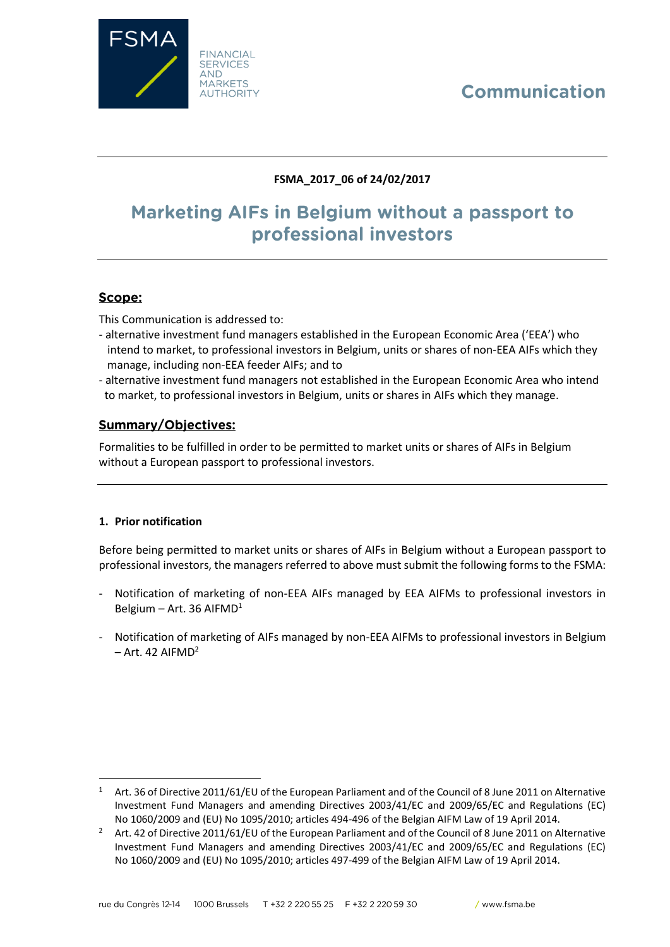# Communication



## **FSMA\_2017\_06 of 24/02/2017**

# Marketing AIFs in Belgium without a passport to professional investors

## Scope:

This Communication is addressed to:

- alternative investment fund managers established in the European Economic Area ('EEA') who intend to market, to professional investors in Belgium, units or shares of non-EEA AIFs which they manage, including non-EEA feeder AIFs; and to
- alternative investment fund managers not established in the European Economic Area who intend to market, to professional investors in Belgium, units or shares in AIFs which they manage.

## **Summary/Objectives:**

Formalities to be fulfilled in order to be permitted to market units or shares of AIFs in Belgium without a European passport to professional investors.

### **1. Prior notification**

 $\overline{\phantom{a}}$ 

Before being permitted to market units or shares of AIFs in Belgium without a European passport to professional investors, the managers referred to above must submit the following forms to the FSMA:

- Notification of marketing of non-EEA AIFs managed by EEA AIFMs to professional investors in Belgium – Art. 36 AIFMD<sup>1</sup>
- Notification of marketing of AIFs managed by non-EEA AIFMs to professional investors in Belgium  $-$  Art. 42 AIFMD<sup>2</sup>

<sup>&</sup>lt;sup>1</sup> Art. 36 of Directive 2011/61/EU of the European Parliament and of the Council of 8 June 2011 on Alternative Investment Fund Managers and amending Directives 2003/41/EC and 2009/65/EC and Regulations (EC) No 1060/2009 and (EU) No 1095/2010; articles 494-496 of the Belgian AIFM Law of 19 April 2014.

<sup>&</sup>lt;sup>2</sup> Art. 42 of Directive 2011/61/EU of the European Parliament and of the Council of 8 June 2011 on Alternative Investment Fund Managers and amending Directives 2003/41/EC and 2009/65/EC and Regulations (EC) No 1060/2009 and (EU) No 1095/2010; articles 497-499 of the Belgian AIFM Law of 19 April 2014.